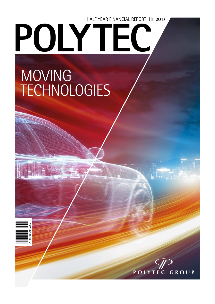# HALF YEAR FINANCIAL REPORT **H1 2017** POLY1

# MOVING<br>TECHNOLOGIES

AT 0000 A00XX9

AT 0000 A00XX9

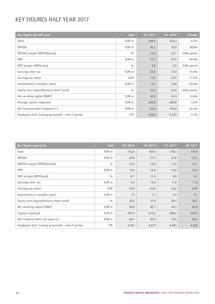## KEY FIGURES HALF YEAR 2017

| Key figures by half year                            | <b>Unit</b>      | H1 2017 | H1 2016 | Change      |
|-----------------------------------------------------|------------------|---------|---------|-------------|
| <b>Sales</b>                                        | EUR m            | 348.3   | 326.3   | 6.7%        |
| EBITDA                                              | EUR m            | 45.1    | 33.0    | 36.6%       |
| EBITDA margin (EBITDA/sales)                        | 0/0              | 12.9    | 10.1    | 2.8% points |
| <b>EBIT</b>                                         | EUR m            | 31.3    | 20.3    | 54.4%       |
| EBIT margin (EBIT/sales)                            | 0/0              | 9.0     | 6.2     | 2.8% points |
| Earnings after tax                                  | EUR m            | 22.6    | 13.0    | 74.2%       |
| Earnings per share                                  | <b>EUR</b>       | 1.01    | 0.57    | 77.2%       |
| Investments in tangible assets                      | EUR m            | 14.1    | 18.8    | $-25.0%$    |
| Equity ratio (equity/balance sheet total)           | 0/0              | 39.3    | 34.5    | 4.8% points |
| Net working capital (NWC)                           | EUR m            | 65.9    | 57.4    | 14.8%       |
| Average capital employed                            | EUR m            | 289.8   | 280.8   | $3.2\%$     |
| Net financial debt $(+)/$ assets $(-)$              | EUR <sub>m</sub> | 82.0    | 105.8   | $-22.5%$    |
| Employees (incl. leasing personnel) - end of period | <b>FTE</b>       | 4,563   | 4,343   | $5.1\%$     |

| Key figures quarterly                               | Unit       | Q3 2016 | 04 2016 | Q1 2017 | 02 2017 |
|-----------------------------------------------------|------------|---------|---------|---------|---------|
| <b>Sales</b>                                        | EUR m      | 155.6   | 168.5   | 178.3   | 170.0   |
| EBITDA                                              | EUR m      | 20.0    | 27.0    | 22.8    | 22.3    |
| EBITDA margin (EBITDA/sales)                        | 0/0        | 12.9    | 16.0    | 12.8    | 13.1    |
| EBIT                                                | EUR m      | 13.5    | 18.6    | 15.9    | 15.4    |
| EBIT margin (EBIT/sales)                            | 0/0        | 8.7     | 11.0    | 8.9     | 9.1     |
| Earnings after tax                                  | EUR m      | 9.5     | 14.5    | 11.6    | 11.0    |
| Earnings per share                                  | EUR        | 0.42    | 0.65    | 0.52    | 0.49    |
| Investments in tangible assets                      | EUR m      | 7.3     | 7.1     | 4.4     | 9.7     |
| Equity ratio (equity/balance sheet total)           | 0/0        | 36.3    | 37.9    | 38.4    | 39.3    |
| Net working capital (NWC)                           | EUR m      | 56.5    | 40.1    | 54.7    | 65.9    |
| Capital empolyed                                    | EUR m      | 287.9   | 276.2   | 289.0   | 303.4   |
| Net financial debt $(+)/$ -assets $(-)$             | EUR m      | 96.7    | 69.9    | 70.6    | 82.0    |
| Employees (incl. leasing personnel) - end of period | <b>FTE</b> | 4,261   | 4,427   | 4,483   | 4,563   |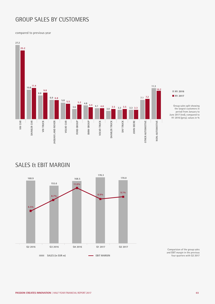## GROUP SALES BY CUSTOMERS

compared to previous year



## ■ **H1 2017**

Group sales split showing the largest customers in period from January to June 2017 (red), compared to H1 2016 (grey), values in %

## SALES & EBIT MARGIN



Comparision of the group sales and EBIT margin in the previous four quarters with Q2 2017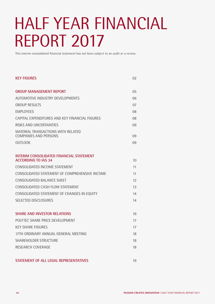## HALF YEAR FINANCIAL REPORT 2017

This interim consolidated financial statement has not been subject to an audit or a review.

| <b>KEY FIGURES</b>                                                            | 02 |
|-------------------------------------------------------------------------------|----|
| <b>GROUP MANAGEMENT REPORT</b>                                                | 05 |
| AUTOMOTIVE INDUSTRY DEVELOPMENTS                                              | 06 |
| <b>GROUP RESULTS</b>                                                          | 07 |
| <b>EMPLOYEES</b>                                                              | 08 |
| CAPITAL EXPENDITURES AND KEY FINANCIAL FIGURES                                | 08 |
| RISKS AND UNCERTAINTIES                                                       | 09 |
| MATERIAL TRANSACTIONS WITH RELATED<br><b>COMPANIES AND PERSONS</b>            | 09 |
| OUTLOOK                                                                       | 09 |
| <b>INTERIM CONSOLIDATED FINANCIAL STATEMENT</b><br><b>ACCORDING TO IAS 34</b> | 10 |
| CONSOLIDATED INCOME STATEMENT                                                 | 11 |
| CONSOLIDATED STATEMENT OF COMPREHENSIVE INCOME                                | 11 |
| CONSOLIDATED BALANCE SHEET                                                    | 12 |
| CONSOLIDATED CASH FLOW STATEMENT                                              | 13 |
| CONSOLIDATED STATEMENT OF CHANGES IN FOUITY                                   | 14 |
| <b>SELECTED DISCLOSURES</b>                                                   | 14 |
| <b>SHARE AND INVESTOR RELATIONS</b>                                           | 16 |
| POLYTEC SHARE PRICE DEVELOPMENT                                               | 17 |
| <b>KFY SHARF FIGURFS</b>                                                      | 17 |
| 17TH ORDINARY ANNUAL GENERAL MEETING                                          | 18 |
| SHAREHOLDER STRUCTURE                                                         | 18 |
| RESEARCH COVERAGE                                                             | 18 |
| STATEMENT OF ALL LEGAL REPRESENTATIVES                                        | 19 |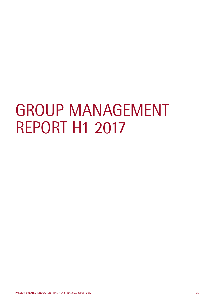# GROUP MANAGEMENT REPORT H1 2017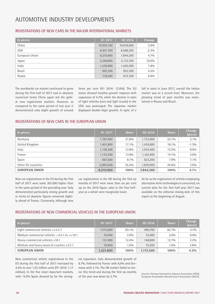## AUTOMOTIVE INDUSTRY DEVELOPMENTS

| In pieces      | H1 2017    | H <sub>2</sub> 2016 | Change   |
|----------------|------------|---------------------|----------|
| China          | 10,929,100 | 10,618,600          | 2.9%     |
| <b>USA</b>     | 8,401,700  | 8,598,300           | $-2.3\%$ |
| European Union | 8,210,900  | 7,844,300           | 4.7%     |
| Japan          | 2,346,600  | 2,132,700           | 10.0%    |
| India          | 1,530,900  | 1,420,300           | 7.8%     |
| <b>Brazil</b>  | 993,100    | 952,300             | $4.3\%$  |
| Russia         | 718,500    | 672,100             | 6.9%     |

#### REGISTRATIONS OF NEW CARS IN THE MAJOR INTERNATIONAL MARKETS

The worldwide car market continued to grow during the first half of 2017 and in absolute numerical terms China again led the global new registration statistic. However, as compared to the same period of last year it demonstrated only slight growth of around three per cent (H1 2016: 12.0%). The EU states showed healthy growth impetus with expansion of 4.7%, while the decline in sales of light vehicles (cars and light trucks) in the USA was prolonged. The Japanese market displayed double-digit growth. In spite of a

fall in sales in June 2017, overall the Indian market was at a record level. Moreover, the pleasing trend of past months was maintained in Russia and Brazil.

#### REGISTRATIONS OF NEW CARS IN THE EUROPEAN UNION

| In pieces             | H1 2017   | <b>Share</b> | H <sub>2</sub> 2016 | <b>Share</b> | <b>Change</b><br>(piece) |
|-----------------------|-----------|--------------|---------------------|--------------|--------------------------|
| Germany               | 1,787,000 | 21.8%        | 1,733,800           | 22.1%        | $3.1\%$                  |
| United Kingdom        | 1,401,800 | 17.1%        | 1,420,600           | 18.1%        | $-1.3%$                  |
| Italy                 | 1,136,300 | 13.8%        | 1,034,400           | 13.2%        | 8.9%                     |
| France                | 1,135,300 | 13.8%        | 1,102,400           | 14.1%        | $3.0\%$                  |
| Spain                 | 667,500   | 8.1%         | 623,200             | 7.9%         | $7.1\%$                  |
| Other EU countries    | 2,083,000 | 25.4%        | 1,929,900           | 24.6%        | 7.9%                     |
| <b>EUROPEAN UNION</b> | 8,210,900 | 100%         | 7,844,300           | 100%         | 4.7%                     |

New car registrations in the EU during the first half of 2017 were some 367,000 higher than in the same period of the preceding year. Italy demonstrated particularly strong growth and in terms of absolute figures remained slightly ahead of France. Conversely, although new car registrations in the UK during the first six months of 2017 were more than six per cent up on the 2016 figure, sales in the first halfyear as a whole were marginally lower.

As far as the registration of vehicles employing alternative drive technologies is concerned, no current data for the first half-year 2017 was available on the editorial closing date of this report at the beginning of August.

#### REGISTRATIONS OF NEW COMMERCIAL VEHICLES IN THE FUROPEAN UNION

| In pieces                                       | H1 2017   | <b>Share</b> | H <sub>2</sub> 2016 | <b>Share</b> | Change<br>(piece) |
|-------------------------------------------------|-----------|--------------|---------------------|--------------|-------------------|
| Light commercial vehicles $\leq$ =3.5 t         | 1,015,000 | 83.1%        | 969,700             | 82.7%        | $4.7\%$           |
| Medium commercial vehicles $>3.5$ t to $<=16$ t | 35,000    | 2.9%         | 35,000              | $3.0\%$      | $0.0\%$           |
| Heavy commercial vehicles >16 t                 | 151.900   | 12.4%        | 148,600             | $12.7\%$     | $2.2\%$           |
| Medium and heavy buses & coaches > 3.5 t        | 19,900    | $1.6\%$      | 19.200              | $1.6\%$      | 3.8%              |
| <b>EUROPEAN UNION</b>                           | 1,221,800 | 100%         | 1,172,500           | 100%         | $4.2\%$           |

New commercial vehicle registrations in the EU during the first half of 2017 increased by 4.2% to over 1.22 million units (H1 2016: 1.17 million). In the five most important markets, with 14.2% Spain showed by far the strong-

est expansion. Italy demonstrated growth of 8.7%, followed by France with 6,0% and Germany with 2.1%. The UK market failed to mirror this trend and during the first six months of the year was down by 2.7%.

Sources: German Automotive Industry Association (VDA), European Automobile Manufacturers Association (ACEA)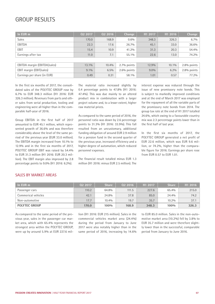## GROUP RESULTS

| In EUR m                     | 02 2017 | 02 2016 | Change         | H1 2017 | H <sub>1</sub> 2016 | Change         |
|------------------------------|---------|---------|----------------|---------|---------------------|----------------|
| <b>Sales</b>                 | 170.0   | 168.9   | $0.6\%$        | 348.3   | 326.3               | 6.7%           |
| EBITDA                       | 22.3    | 17.6    | 26.7%          | 45.1    | 33.0                | 36.6%          |
| EBIT                         | 15.4    | 10.9    | 41.2%          | 31.3    | 20.3                | 54.4%          |
| Earnings after tax           | 11.0    | 7.1     | 55.1%          | 22.6    | 13.0                | 74.2%          |
|                              |         |         |                |         |                     |                |
| EBITDA margin (EBITDA/sales) | 13.1%   | 10.4%   | $2.7\%$ points | 12.9%   | 10.1%               | $2.8\%$ points |
| EBIT margin (EBIT/sales)     | $9.1\%$ | $6.5\%$ | $2.6\%$ points | $9.0\%$ | $6.2\%$             | 2.8% points    |
| Earnings per share (in EUR)  | 0.49    | 0.31    | 58.1%          | 1.01    | 0.57                | 77.2%          |

In the first six months of 2017, the consolidated sales of the POLYTEC GROUP rose by 6.7% to EUR 348.3 million (H1 2016: EUR 326.3 million). Revenues from parts and other sales from serial production, tooling and engineering were all higher than in the comparable half-year of 2016.

Group EBITDA in the first half of 2017 amounted to EUR 45.1 million, which represented growth of 36.6% and was therefore considerably above the level of the same period of the previous year (EUR 33.0 million). The EBITDA margin increased from 10.1% to 12.9% and in the first six months of 2017, POLYTEC GROUP EBIT was raised by 54.4% to EUR 31.3 million (H1 2016: EUR 20.3 million). The EBIT margin also improved by 2.8 percentage points to 9.0% (H1 2016: 6.2%).

The material ratio increased slightly by 0.4 percentage points to 47.8% (H1 2016: 47.4%). This was due mainly to an altered product mix in combination with a larger project volume and, to a lesser extent, higher raw material prices.

As compared to the same period of 2016, the personnel ratio was down by 2.6 percentage points to 31.3% (H1 2016: 33.9%). This fall resulted from an uncustomary, additional funding obligation of around EUR 2.9 million for a pension fund in the second quarter of the previous year, increased efficiency and a higher degree of automation, which reduced personnel expenses.

The financial result totalled minus EUR 1.3 million (H1 2016: minus EUR 2.5 million). The interest expense was reduced through the issue of new promissory note bonds. This is subject to markedly improved conditions and at the end of March 2017 was employed for the repayment of all the variable parts of the promissory note bonds from 2014. The group tax rate at the end of H1 2017 totalled 24.6%, which owing to a favourable country mix was 2.3 percentage points lower than in the first half of last year.

In the first six months of 2017, the POLYTEC GROUP generated a net profit of EUR 22.6 million, which was EUR 9.6 million, or 74.2%, higher than the comparable figure for 2016. Earnings per share rose from EUR 0.57 to EUR 1.01.

#### SALES BY MARKET AREAS

| In EUR m             | 02 2017 | <b>Share</b> | Q <sub>2</sub> 2016 | H1 2017 | <b>Share</b> | H <sub>1</sub> 2016 |
|----------------------|---------|--------------|---------------------|---------|--------------|---------------------|
| Passenger cars       | 110.2   | 64.8%        | 111.5               | 227.6   | 65.4%        | 215.0               |
| Commerical vehicles  | 42.1    | 24.8%        | 37.8                | 85.0    | 24.4%        | 74.2                |
| Non-automotive       | 17.7    | 10.4%        | 19.7                | 35.7    | 10.2%        | 37.1                |
| <b>POLYTEC GROUP</b> | 170.0   | 100%         | 168.9               | 348.3   | 100%         | 326.3               |

As compared to the same period of the previous year, sales in the passenger car market area, which with 65.4% represents the strongest area within the POLYTEC GROUP, were up by around 5.9% at EUR 227.6 million (H1 2016: EUR 215 million). Sales in the commercial vehicles market area (24.4%) during the period from January to June 2017 were also notably higher than in the same period of 2016, increasing by 14.6% to EUR 85.0 million. Sales in the non-automotive market area (10.2%) fell by 3.8% to EUR 35.7 million and were therefore slightly lower than in the successful, comparable period from January to June 2016.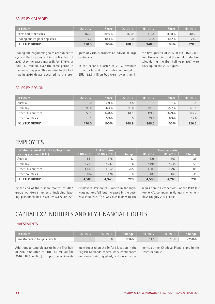#### SALES BY CATEGORY

| In EUR m                      | 02 2017 | <b>Share</b> | 02 2016 | H <sub>1</sub> 2017 | <b>Share</b> | H <sub>1</sub> 2016 |
|-------------------------------|---------|--------------|---------|---------------------|--------------|---------------------|
| Parts and other sales         | 152.3   | 89.6%        | 155.9   | 312.8               | 89.8%        | 302.3               |
| Tooling and engineering sales | 17.7    | $10.4\%$     | 13.0    | 35.5                | 10.2%        | 24.0                |
| <b>POLYTEC GROUP</b>          | 170.0   | 100%         | 168.9   | 348.3               | 100%         | 326.3               |

Tooling and engineering sales are subject to cyclical fluctuations and in the first half of 2017 they increased markedly by 67.6%, or EUR 11.5 million, over the same period in the preceding year. This was due to the fact that in 2016 delays occurred to the progress of various projects at individual large customers.

In the second quarter of 2017, revenues from parts and other sales amounted to EUR 152.3 million but were lower than in

the first quarter of 2017 at EUR 160.5 million. However, in total the serial production sales during the first half-year 2017 were 3.5% up on the 2016 figure.

#### SALES BY REGION

| In EUR m             | 02 2017 | <b>Share</b> | 02 2016 | H1 2017 | 'Share  | H1 2016 |
|----------------------|---------|--------------|---------|---------|---------|---------|
| Austria              | 5.0     | 2.9%         | 4.5     | 10.9    | $3.1\%$ | 9.5     |
| Germany              | 95.8    | 56.4%        | 90.8    | 193.9   | 55.7%   | 176.5   |
| Other EU countries   | 59.1    | 34.8%        | 64.1    | 121.7   | 34.9%   | 122.7   |
| Other countries      | 10.1    | $5.9\%$      | 9.5     | 21.8    | $6.3\%$ | 17.6    |
| <b>POLYTEC GROUP</b> | 170.0   | 100%         | 168.9   | 348.3   | 100%    | 326.3   |

#### EMPLOYEES

| Full-time equivalents of employees incl. | End of period |            |        |         | Average period |        |
|------------------------------------------|---------------|------------|--------|---------|----------------|--------|
| leasing personnel (FTE)                  | 30.06.2017    | 30.06.2016 | Change | H1 2017 | H1 2016        | Change |
| Austria                                  | 531           | 578        | $-47$  | 525     | 563            | $-38$  |
| Germany                                  | 2,231         | 2,237      | $-6$   | 2,195   | 2,245          | $-50$  |
| Other EU countries                       | .617          | 1,352      | 265    | 1,600   | 1,292          | 308    |
| Other countries                          | 184           | 176        | 8      | 180     | 169            |        |
| <b>POLYTEC GROUP</b>                     | 4,563         | 4,343      | 220    | 4,500   | 4,269          | 231    |

By the end of the first six months of 2017, group workforce numbers (including leasing personnel) had risen by 5.1%, or 220

employees. Personnel numbers in the highwage nations fell, but increased in the bestcost countries. This was due mainly to the acquisition in October 2016 of the POLYTEC Komló Kft. company in Hungary, which employs roughly 200 people.

## CAPITAL EXPENDITURES AND KEY FINANCIAL FIGURES

#### INVESTMENTS

| l In EUR m                     | $\setminus$ 02 2017 $\parallel$ | 022016 |      |     | <b>Change</b>   $H1\,2017$   $H1\,2016$ | Change   |
|--------------------------------|---------------------------------|--------|------|-----|-----------------------------------------|----------|
| Investments in tangible assets |                                 |        | 2.8% | 14. | 18.8                                    | $-25.0%$ |

Additions to tangible assets in the first half of 2017 amounted to EUR 14.1 million (H1 2016: 18.8 million). In particular investment focused on the Telford location in the English Midlands, where work commenced on a new painting plant, and on enlargements at the Chodová Planá plant in the Czech Republic.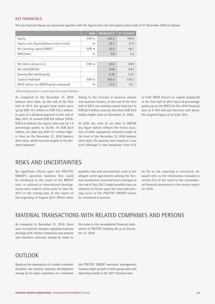#### KEY FINANCIALS

The key financial figures are presented together with the figures from the last balance sheet date of 31 December 2016 as follows:

|                                           | <b>Unit</b> | 30.06.2017 | 31.12.2016 |
|-------------------------------------------|-------------|------------|------------|
| Equity                                    | EUR m       | 202.5      | 189.9      |
| Equity ratio (Equity/balance sheet total) | 0/0         | 39.3       | 37.9       |
| Net working capital (NWC) <sup>1)</sup>   | EUR m       | 65.9       | 40.1       |
| NWC/sales                                 | 0/0         | 9.8        | 6.2        |
|                                           |             |            |            |
| Net debt $(+)/$ assets $(-)$              | EUR m       | 82.0       | 69.9       |
| Net debt/EBITDA                           |             | 0.90       | 0.87       |
| Gearing (Net debt/equity)                 |             | 0.40       | 0.37       |
| Capital employed                          | EUR m       | 303.4      | 276.2      |
| ROCE before tax (EBIT/Capital employed)   | 0/0         | 21.9       | 19.1       |

1) Net working capital = current assets less current liabilities

As compared to the December 31, 2016 balance sheet date, by the end of the first half of 2017, the group's total assets were up by EUR 14.1 million at EUR 515.5 million. In spite of a dividend payment at the end of May 2017 of around EUR 8.8 million (2016: EUR 6.6 million), the equity ratio rose by 1.4 percentage points to 39.3%. At EUR 82.0 million, net debt was EUR 12.1 million higher than on the December 31, 2016 balance sheet date, which was due largely to the dividend payment.

Owing to the increase in business volume and seasonal factors, at the end of the first half of 2017, net working capital had risen to EUR 65.9 million and was therefore EUR 25.8 million higher than on December 31, 2016.

At 0.90, the ratio of net debt to EBITDA key figure (which reflects the fictive duration of debt repayment) remained stable at the level of the December 31, 2016 balance sheet date. The gearing ratio stayed at a low level although it rose marginally from 0.37 to 0.40. ROCE (return on capital employed) in the first half of 2017 was 2.8 percentage points up on the ROCE for the 2016 financial year at 21.9% and was therefore well above the targeted figure of at least 15%.

#### RISKS AND UNCERTAINTIES

No significant effects upon the POLYTEC GROUP's operative business that could be attributed to the result of the BREXIT vote, or national or international developments were evident either prior to June 30, 2017 or the closing date of this report at the beginning of August 2017. Which other

possible risks and uncertainties, such as the alleged cartel agreements among the German automotive manufacturers emerged at the end of July 2017, might possibly have an influence in future upon the sales and earnings curve of the POLYTEC GROUP cannot be estimated at present.

As far as risk reporting is concerned, we would refer to the information included in section G.2 of the notes to the consolidated financial statements in the annual report  $for 2016$ 

#### MATERIAL TRANSACTIONS WITH RELATED COMPANIES AND PERSONS

As compared to December 31, 2016, there were no material changes regarding business dealings with related companies and persons and therefore reference should be made to

the notes to the consolidated financial statements of POLYTEC Holding AG as at December 31, 2016.

## OUTLOOK

Based on the assumption of a stable economic situation and positive business development among all its major customers, at a minimum

the POLYTEC GROUP executive management foresees slight growth in both group sales and operating results in the 2017 financial year.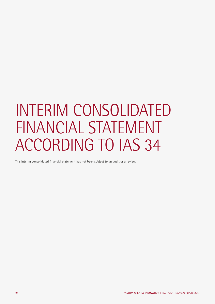# INTERIM CONSOLIDATED FINANCIAL STATEMENT ACCORDING TO IAS 34

This interim consolidated financial statement has not been subject to an audit or a review.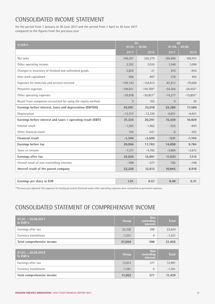## CONSOLIDATED INCOME STATEMENT

for the period from 1 January to 30 June 2017 and the period from 1 April to 30 June 2017 compared to the figures from the previous year

| In EUR k                                                     | H1<br>$01.01. - 30.06.$ |                          | Q <sub>2</sub><br>$01.04. - 30.06.$ |               |
|--------------------------------------------------------------|-------------------------|--------------------------|-------------------------------------|---------------|
|                                                              | 2017                    | 2016                     | 2017                                | 2016          |
| Net sales                                                    | 348,267                 | 326,279                  | 169,999                             | 168,912       |
| Other operating income                                       | 2,392                   | 2,035                    | 1,548                               | 1,099         |
| Changes in inventory of finished and unfinished goods        | 2,829                   | $-21$                    | 910                                 | $-954$        |
| Own work capitalised                                         | 606                     | 897                      | 278                                 | 404           |
| Expenses for materials and services received                 | $-169, 143$             | $-154,613$               | $-81,813$                           | $-79,658$     |
| Personnel expenses                                           | $-109,921$              | $-110,709$ <sup>1)</sup> | $-54,364$                           | $-56,455^{1}$ |
| Other operating expenses                                     | $-29,938$               | $-30,853^{1}$            | $-14,277$                           | $-15,805^{1}$ |
| Result from companies accounted for using the equity method  | $\overline{0}$          | 105                      | $\overline{0}$                      | 39            |
| Earnings before interest, taxes and depreciation (EBITDA)    | 45,091                  | 33,018                   | 22,280                              | 17,580        |
| Depreciation                                                 | $-13,757$               | $-12,726$                | $-6,851$                            | $-6,651$      |
| Earnings before interest and taxes = operating result (EBIT) | 31,334                  | 20,291                   | 15,429                              | 10,929        |
| Interest result                                              | $-1,502$                | $-1,962$                 | $-525$                              | $-943$        |
| Other financial result                                       | 162                     | $-547$                   | $-6$                                | $-202$        |
| <b>Financial result</b>                                      | $-1,340$                | $-2,509$                 | $-531$                              | $-1,145$      |
| Earnings before tax                                          | 29,994                  | 17,783                   | 14,898                              | 9,784         |
| Taxes on income                                              | $-7,371$                | $-4,792$                 | $-3,869$                            | $-2,672$      |
| Earnings after tax                                           | 22,624                  | 12,991                   | 11,030                              | 7,112         |
| thereof result of non-controlling interests                  | $-398$                  | $-377$                   | $-185$                              | $-196$        |
| thereof result of the parent company                         | 22,226                  | 12,613                   | 10,845                              | 6,916         |
|                                                              |                         |                          |                                     |               |
| Earnings per share in EUR                                    | 1.01                    | 0.57                     | 0.49                                | 0.31          |

1) Previous year adjusted: the expenses for leasing personnel disclosed under other operating expenses were reclassified as personnel expenses.

## CONSOLIDATED STATEMENT OF COMPREHENSIVE INCOME

| $\overline{01.01. - 30.06.2017}$<br>In EUR k | <b>Group</b> | <b>Non</b><br>controlling<br><b>interests</b> | <b>Total</b> |
|----------------------------------------------|--------------|-----------------------------------------------|--------------|
| Earnings after tax                           | 22,226       | 398                                           | 22,624       |
| Currency translations                        | $-1,221$     | $\Omega$                                      | $-1,221$     |
| Total comprehensive income                   | 21,004       | 398                                           | 21,402       |
|                                              |              |                                               |              |
|                                              |              |                                               |              |
| $01.01 - 30.06.2016$<br>In EUR k             | Group        | Non<br>controlling<br><b>interests</b>        | <b>Total</b> |
| Earnings after tax                           | 12,613       | 377                                           | 12,991       |
| Currency translations                        | $-1,561$     | $\mathbf 0$                                   | $-1,561$     |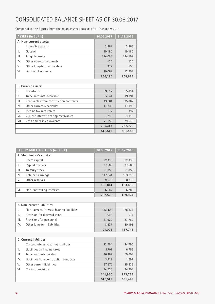## CONSOLIDATED BALANCE SHEET AS OF 30.06.2017

Compared to the figures from the balance sheet date as of 31 December 2016

|      | <b>ASSETS (in EUR k)</b>    | 30.06.2017 | 31.12.2016 |
|------|-----------------------------|------------|------------|
|      | A. Non-current assets:      |            |            |
| I.   | Intangible assets           | 2,362      | 2,368      |
| 11.  | Goodwill                    | 19,180     | 19,180     |
| III. | Tangible assets             | 224,093    | 224,192    |
| IV.  | Other non-current assets    | 126        | 126        |
| V.   | Other long-term receivables | 372        | 556        |
| VI.  | Deferred tax assets         | 10,062     | 12,254     |
|      |                             | 256,196    | 258,678    |

|      | <b>B.</b> Current assets:               |         |         |
|------|-----------------------------------------|---------|---------|
| I.   | Inventories                             | 59,512  | 55,834  |
| 11.  | Trade accounts receivable               | 65,641  | 49,791  |
| III. | Receivables from construction contracts | 43.381  | 35,862  |
| IV.  | Other current receivables               | 14,808  | 17,196  |
| V.   | Income tax receivables                  | 577     | 397     |
| VI.  | Current interest-bearing receivables    | 4,248   | 4,149   |
| VII. | Cash and cash equivalents               | 71,150  | 79,540  |
|      |                                         | 259,317 | 242,770 |
|      |                                         | 515,513 | 501,448 |

|      | <b>EQUITY AND LIABILITIES (in EUR k)</b> | 30.06.2017 | 31.12.2016 |
|------|------------------------------------------|------------|------------|
|      | A. Shareholder's equity:                 |            |            |
| Ι.   | Share capital                            | 22,330     | 22,330     |
| Ш.   | Capital reserves                         | 37,563     | 37,563     |
| III. | Treasury stock                           | $-1,855$   | $-1,855$   |
| IV.  | Retained earnings                        | 147,341    | 133,913    |
| V.   | Other reserves                           | $-9,538$   | $-8,316$   |
|      |                                          | 195,841    | 183,635    |
| VI.  | Non-controlling interests                | 6,687      | 6,289      |
|      |                                          | 202.528    | 189.924    |

|      | <b>B. Non-current liabilities:</b>        |         |         |
|------|-------------------------------------------|---------|---------|
|      | Non-current, interest-bearing liabilities | 133,408 | 128,837 |
| 11.  | Provision for deferred taxes              | 1.098   | 917     |
| III. | Provisions for personnel                  | 27,922  | 27,789  |
| IV.  | Other long-term liabilities               | 8.577   | 10,198  |
|      |                                           | 171,005 | 167,741 |

|      | C. Current liabilities:                 |         |         |
|------|-----------------------------------------|---------|---------|
| I.   | Current interest-bearing liabilities    | 23,994  | 24,795  |
| ΙΙ.  | Liabilities on income taxes             | 5,701   | 6,752   |
| III. | Trade accounts payable                  | 46,469  | 50,603  |
| IV.  | Liabilities from construction contracts | 3,319   | 1,597   |
| V.   | Other current liabilities               | 27,870  | 25,832  |
| VI.  | Current provisions                      | 34,628  | 34,204  |
|      |                                         | 141,980 | 143,783 |
|      |                                         | 515,513 | 501,448 |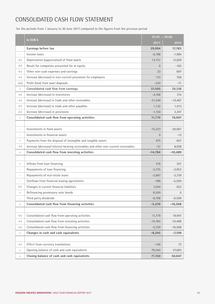## CONSOLIDATED CASH FLOW STATEMENT

for the periode from 1 January to 30 June 2017 compared to the figures from the previous period

|                                   | In EUR k                                                                           |           | $01.01. - 30.06.$ |
|-----------------------------------|------------------------------------------------------------------------------------|-----------|-------------------|
|                                   |                                                                                    | 2017      | 2016              |
|                                   | Earnings before tax                                                                | 29,994    | 17,783            |
| $\overline{\phantom{a}}$          | Income taxes                                                                       | $-6,188$  | $-1,984$          |
| $+(-)$                            | Depreciation (appreciation) of fixed assets                                        | 13,757    | 12,659            |
| $- (+)$                           | Result for companies accounted for at equity                                       | $\Omega$  | $-105$            |
| $+(-)$                            | Other non-cash expenses and earnings                                               | 33        | 697               |
| $+(-)$                            | Increase (decrease) in non-current provisions for employees                        | 133       | 358               |
| $- (+)$                           | Profit (loss) from asset disposals                                                 | $-224$    | $-71$             |
| $=$                               | Consolidated cash flow from earnings                                               | 37,505    | 29,338            |
| $-(+)$                            | Increase (decrease) in inventories                                                 | $-4,168$  | 315               |
| $- (+)$                           | Increase (decrease) in trade and other receivables                                 | $-21,540$ | $-14,467$         |
| $+(-)$                            | Increase (decrease) in trade and other payables                                    | 1,132     | 1,413             |
| $+(-)$                            | Increase (decrease) in provisions                                                  | $-1,150$  | 3,347             |
| $\quad =$                         | Consolidated cash flow from operating activities                                   | 11,779    | 19,947            |
|                                   |                                                                                    |           |                   |
| $\overline{\phantom{a}}$          | Investments in fixed assets                                                        | $-15,223$ | $-20,061$         |
|                                   | Investments in financial assets                                                    | $\Omega$  | $-13$             |
| $\begin{array}{c} + \end{array}$  | Payments from the disposal of intangible and tangible assets                       | 475       | 657               |
| $- (+)$                           | Increase (decrease) interest-bearing receivables and other non-current receivables | $-37$     | 8,928             |
| $=$                               | Consolidated cash flow from investing activities                                   | $-14,784$ | $-10,489$         |
|                                   |                                                                                    |           |                   |
| $\begin{array}{c} + \end{array}$  | Inflows from loan financing                                                        | 216       | 301               |
|                                   | Repayments of loan financing                                                       | $-2,725$  | $-2,953$          |
| $\overline{\phantom{a}}$          | Repayments of real estate loans                                                    | $-2,687$  | $-2,739$          |
| $\overline{\phantom{a}}$          | Outflows from financial leasing agreements                                         | $-786$    | $-5,500$          |
| $+(-)$                            | Changes in current financial liabilities                                           | 1,040     | 922               |
| $\begin{array}{c} + \end{array}$  | Refinancing promissory note bonds                                                  | 8,500     | $\boldsymbol{0}$  |
| $\overline{\phantom{0}}$          | Third party dividends                                                              | $-8,798$  | $-6,599$          |
| $=$                               | Consolidated cash flow from financing activities                                   | $-5,239$  | $-16,568$         |
|                                   |                                                                                    |           |                   |
| $+(-)$                            | Consolidated cash flow from operating activities                                   | 11,779    | 19,947            |
| $+(-)$                            | Consolidated cash flow from investing activities                                   | $-14,784$ | $-10,489$         |
| $+(-)$                            | Consolidated cash flow from financing activities                                   | $-5,239$  | $-16,568$         |
| $\hspace{1.5cm} = \hspace{1.5cm}$ | Changes in cash and cash equivalents                                               | $-8,245$  | $-7,109$          |
|                                   |                                                                                    |           |                   |
| $+(-)$                            | Effect from currency translations                                                  | $-146$    | 72                |
| $\begin{array}{c} + \end{array}$  | Opening balance of cash and cash equivalents                                       | 79,540    | 57,683            |
| $=$                               | Closing balance of cash and cash equivalents                                       | 71,150    | 50,647            |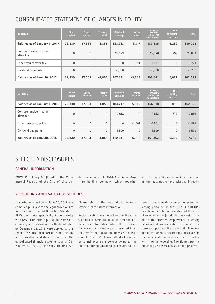## CONSOLIDATED STATEMENT OF CHANGES IN EQUITY

| In EUR k                          | <b>Share</b><br>capital | <b>Capital</b><br>reserves | <b>Treasury</b><br>stock | <b>Retained</b><br>earnings | <b>Other</b><br>reserves | <b>Shares of</b><br><b>POLYTEC</b><br><b>Holding AG</b><br>stockholders | Non<br>controlling<br>interests | <b>Total</b> |
|-----------------------------------|-------------------------|----------------------------|--------------------------|-----------------------------|--------------------------|-------------------------------------------------------------------------|---------------------------------|--------------|
| Balance as of January 1, 2017     | 22,330                  | 37.563                     | $-1.855$                 | 133.913                     | $-8.317$                 | 183.635                                                                 | 6.289                           | 189.924      |
| Comprehensive income<br>after tax | $\Omega$                | $\overline{0}$             | $\overline{0}$           | 22,223                      | $\Omega$                 | 22,226                                                                  | 398                             | 22,624       |
| Other results after tax           | $\Omega$                | $\overline{0}$             | $\Omega$                 | $\overline{0}$              | $-1,221$                 | $-1.221$                                                                | $\overline{0}$                  | $-1,221$     |
| Dividend payments                 | $\Omega$                | $\overline{0}$             | $\overline{0}$           | $-8.798$                    | $\overline{0}$           | $-8.798$                                                                | $\overline{0}$                  | $-8,798$     |
| Balance as of June 30, 2017       | 22,330                  | 37,563                     | $-1.855$                 | 147.341                     | $-9.538$                 | 195.841                                                                 | 6.687                           | 202,528      |

| In EUR k                          | <b>Share</b><br>capital | Capital<br>reserves | <b>Treasury</b><br>stock | <b>Retained</b><br>earnings | <b>Other</b><br>reserves | <b>Shares of</b><br><b>POLYTEC</b><br><b>Holding AG</b><br>stockholders | <b>Non</b><br>controlling<br><b>interests</b> | <b>Total</b> |
|-----------------------------------|-------------------------|---------------------|--------------------------|-----------------------------|--------------------------|-------------------------------------------------------------------------|-----------------------------------------------|--------------|
| Balance as of January 1, 2016     | 22,330                  | 37,563              | $-1.855$                 | 104,217                     | $-5.345$                 | 156,910                                                                 | 6,015                                         | 162,925      |
| Comprehensive income<br>after tax | $\Omega$                | $\overline{0}$      | $\overline{0}$           | 12,613                      | $\mathbf{0}$             | 12,613                                                                  | 377                                           | 12,991       |
| Other results after tax           | $\Omega$                | $\overline{0}$      | $\Omega$                 | $\overline{0}$              | $-1,561$                 | $-1.561$                                                                | $\Omega$                                      | $-1,561$     |
| Dividend payments                 | $\Omega$                | $\overline{0}$      | $\overline{0}$           | $-6,599$                    | $\mathbf{0}$             | $-6.599$                                                                | $\overline{0}$                                | $-6,599$     |
| Balance as of June 30, 2016       | 22,330                  | 37,563              | $-1.855$                 | 110,231                     | $-6.906$                 | 161,363                                                                 | 6.392                                         | 167,756      |

## SELECTED DISCLOSURES

#### GENERAL INFORMATION

POLYTEC Holding AG (listed in the Commercial Registry of the City of Linz un-

der the number FN 197646 g) is an Austrian holding company, which together with its subsidiaries is mainly operating in the automotive and plastics industry.

#### ACCOUNTING AND EVALUATION METHODS

This interim report as of June 30, 2017 was compiled pursuant to the legal provisions of International Financial Reporting Standards (IFRS), and more specifically, in conformity with IAS 34 (interim reports). The same accounting and evaluation methods adopted on December 31, 2016 were applied to this report. This interim report does not include all information and data contained in the consolidated financial statements as of December 31, 2016 of POLYTEC Holding AG.

Please refer to the consolidated financial statements for more information.

Reclassification was undertaken in the consolidated income statement in order to enhance its informative value. The expenses for leasing personnel were transferred from the item "Other operating expenses" to "Personnel expenses". Above all, disclosure as personnel expense is correct owing to the fact that during operating procedures no dif-

ferentiation is made between company and leasing personnel in the POLYTEC GROUP's calculation and business analysis of the costs of manual labour (production wages). In addition, the effective employment of leasing personnel demands extensive human resource support and the use of suitable managerial instruments. Accordingly, disclosure in the consolidated income statement is in line with internal reporting. The figures for the preceding year were adjusted appropriately.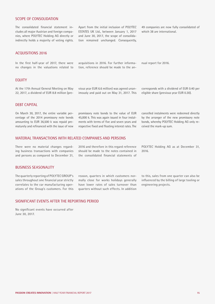#### SCOPE OF CONSOLIDATION

The consolidated financial statement includes all major Austrian and foreign companies, where POLYTEC Holding AG directly or indirectly holds a majority of voting rights.

Apart from the initial inclusion of POLYTEC ESTATES UK Ltd., between January 1, 2017 and June 30, 2017, the scope of consolidation remained unchanged. Consequently,

49 companies are now fully consolidated of which 38 are international.

#### ACQUISITIONS 2016

In the first half-year of 2017, there were no changes in the valuations related to acquisitions in 2016. For further information, reference should be made to the an-

#### EQUITY

At the 17th Annual General Meeting on May 22, 2017, a dividend of EUR 8.8 million (previous year EUR 6.6 million) was agreed unanimously and paid out on May 31, 2017. This corresponds with a dividend of EUR 0.40 per eligible share (previous year EUR 0.30).

nual report for 2016.

#### DEBT CAPITAL

On March 30, 2017, the entire variable percentage of the 2014 promissory note bonds amounting to EUR 36,500 k was repaid prematurely and refinanced with the issue of new promissory note bonds to the value of EUR 45,000 k. This was again issued in four instalments with terms of five and seven years and respective fixed and floating interest rates. The cancelled instalments were redeemed directly by the arranger of the new promissory note bonds, whereby POLYTEC Holding AG only received the mark-up sum.

#### MATERIAL TRANSACTIONS WITH RELATED COMPANIES AND PERSONS

There were no material changes regarding business transactions with companies and persons as compared to December 31, 2016 and therefore in this regard reference should be made to the notes contained in the consolidated financial statements of POLYTEC Holding AG as at December 31, 2016.

#### BUSINESS SEASONALITY

The quarterly reporting of POLYTEC GROUP's sales throughout one financial year strictly correlates to the car manufacturing operations of the Group's customers. For this reason, quarters in which customers normally close for works holidays generally have lower rates of sales turnover than quarters without such effects. In addition to this, sales from one quarter can also be influenced by the billing of large tooling or engineering projects.

#### SIGNIFICANT EVENTS AFTER THE REPORTING PERIOD

No significant events have occurred after June 30, 2017.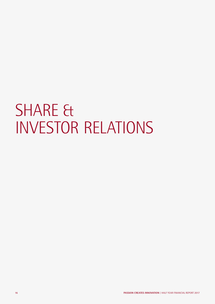# SHARE & INVESTOR RELATIONS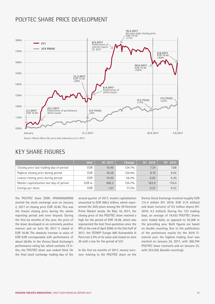## POLYTEC SHARE PRICE DEVELOPMENT



## KEY SHARE FIGURES

|                                          | <b>Unit</b> | H1 2017 | Change | H1 2016 | H1 2015 |
|------------------------------------------|-------------|---------|--------|---------|---------|
| Closing price last trading day of period | <b>EUR</b>  | 16.49   | 124.7% | 7.34    | 7.88    |
| Highest closing price during period      | <b>EUR</b>  | 18.38   | 124.4% | 8.19    | 8.45    |
| Lowest closing price during period       | <b>EUR</b>  | 10.40   | 56.4%  | 6.65    | 6.20    |
| Market capitalisation last day of period | EUR m       | 368.2   | 124.7% | 163.9   | 176.0   |
| Earings per share                        | <b>EUR</b>  | 1.01    | 77.2%  | 0.57    | 0.53    |

The POLYTEC share (ISIN: AT0000A00XX9) started the stock exchange year on January 2, 2017 at closing price EUR 10.40. This was the lowest closing price during the whole reporting period and even beyond. During the first six months of the year, the price of the share developed in an extremely positive manner and on June 30, 2017 it closed at EUR 16.49. The absolute increase in value of EUR 6.09 corresponded with performance of about 58.6%. In the Vienna Stock Exchange's performance rating list, which contains 73 titles, the POLYTEC share was ranked third. On the final stock exchange trading day of the

second quarter of 2017, market capitalisation amounted to EUR 368.2 million, which represented the 35th place among the 39 Viennese Prime Market stocks. On May 16, 2017, the closing price of the POLYTEC share reached a high for the period of EUR 18.38, which also represented the best final quotation since the IPO at the end of April 2006. In the first half of 2017, the STOXX® Europe 600 Automobile & Parts lost 2.5% of its value and closed on June 30 with a low for the period of 537.

In the first six months of 2017, money turnover relating to the POLYTEC share on the Vienna Stock Exchange involved roughly EUR 131.4 million (H1 2016: EUR 31.9 million) and share turnover of 9.2 million shares (H1 2016: 4.3 million). During the 123 trading days, an average of 74,432 POLYTEC shares were traded daily, as opposed to 35,308 in the preceding year. Both figures are based on double counting. Due to the publication of the preliminary results for the 2016 financial year, the highest trading level was reached on January 24, 2017, with 366,794 POLYTEC share contracts and on January 23, with 253,550, (double counting).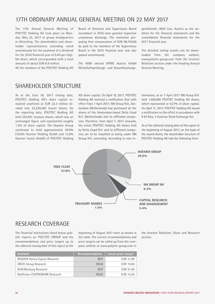## 17TH ORDINARY ANNUAL GENERAL MEETING ON 22 MAY 2017

The 17th Annual General Meeting of POLYTEC Holding AG took place on Monday, May 22, 2017 at group headquarters in Hörsching. The shareholders and shareholder representatives attending voted unanimously for the payment of a dividend for the 2016 financial year of 0.40 per eligible share, which corresponded with a total amount of about EUR 8.8 million.

All the members of the POLYTEC Holding AG

Board of Directors and Supervisory Board incumbent in 2016 were granted respective unanimous discharge. The resolution proposing that remuneration of EUR 98,750.00 be paid to the members of the Supervisory Board in the 2016 financial year was also passed unanimously.

The AGM elected KPMG Austria GmbH Wirtschaftsprüfungs- und Steuerberatungsgesellschaft, 4020 Linz, Austria as the auditors for the financial statements and the consolidated financial statements for the 2017 financial year.

The detailed voting results can be downloaded from the company website, www.polytec-group.com from the Investor Relations section under the heading Annual General Meeting.

### SHARFHOLDER STRUCTURE

As at the June 30, 2017 closing date, POLYTEC Holding AG's share capital remained unaltered at EUR 22.3 million divided into 22,329,585 bearer shares. On the reporting date, POLYTEC Holding AG held 334,041 treasury shares, which was an unchanged figure and represented roughly 1.5% of share capital. The Huemer Group continued to hold approximately 29.0% (16.0% Huemer Holding GmbH and 13.0% Huemer Invest GmbH) of POLYTEC Holding

AG share capital. On April 10, 2017, POLYTEC Holding AG received a notification that with effect from 7 April 2017, NN Group N.V., Amsterdam (Netherlands) had purchased all the shares of the Amsterdam-based Delta Lloyd N.V. (Netherlands) and its affiliated companies. Therefore, from April 7, 2017 onwards, the entire POLYTEC Holding AG shares held by Delta Lloyd N.V. and its affiliated companies are to be classified as being under NN Group N.V. ownership. According to own in-

formation, as at 7 April 2017 NN Group N.V. held 1,400,000 POLYTEC Holding AG shares, which represented or 6.27% of share capital. On April 11, 2017, POLYTEC Holding AG issued a notification to this effect in accordance with § 93 Para. 2 Austrian Stock Exchange Act.

As at the editorial closing date of this report at the beginning of August 2017, on the basis of the issued shares, the shareholder structure of POLYTEC Holding AG had the following form:



## RESEARCH COVERAGE

The financial institutions listed below publish reports on POLYTEC GROUP and the recommendations and price targets up to the editorial closing date of this report at the beginning of August 2017 were as shown in the table. The current recommendations and price targets can be called up from the company website at www.polytec-group.com in

| <b>Institute</b>                     | Recommendation | Latest price target |
|--------------------------------------|----------------|---------------------|
| <b>BAADER Helvea Equity Research</b> | <b>BUY</b>     | EUR 21.00           |
| <b>ERSTE Group Research</b>          | <b>HOLD</b>    | EUR 19.00           |
| M.M.Warburg Research                 | <b>BUY</b>     | EUR 21.00           |
| Raiffeisen CENTROBANK Research       | <b>HOLD</b>    | EUR 15.50           |

the Investor Relations, Share and Research section.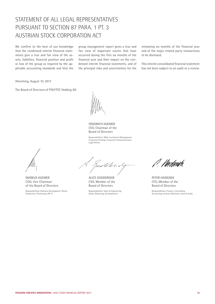## STATEMENT OF ALL LEGAL REPRESENTATIVES PURSUANT TO SECTION 87 PARA. 1 PT. 3 AUSTRIAN STOCK CORPORATION ACT

We confirm to the best of our knowledge that the condensed interim financial statements give a true and fair view of the assets, liabilities, financial position and profit or loss of the group as required by the applicable accounting standards and that the

group management report gives a true and fair view of important events that have occurred during the first six months of the financial year and their impact on the condensed interim financial statements, and of the principal risks and uncertainties for the

remaining six months of the financial year and of the major related party transactions to be disclosed.

This interim consolidated financial statement has not been subject to an audit or a review.

Hörsching, August 10, 2017

The Board of Directors of POLYTEC Holding AG

FRIEDRICH HUEMER CEO, Chairman of the Board of Directors

Responsibilities: M&A, Investment Management, Corporate Strategy, Corporate Communications, Legal Affairs

MARKUS HUEMER COO, Vice Chairman of the Board of Directors

Responsibilities: Business Development, Plants, Production, Purchasing, HR, IT

reddferio

ALICE GODDERIDGE CSO, Member of the Board of Directors

Responsibilities: Sales & Engineering (Sales, Marketing, Development)

*l Viwdwah*l

PETER HAIDENEK CFO, Member of the Board of Directors

Responsibilities: Finance, Controlling, Accounting, Investor Relations, Internal Audit